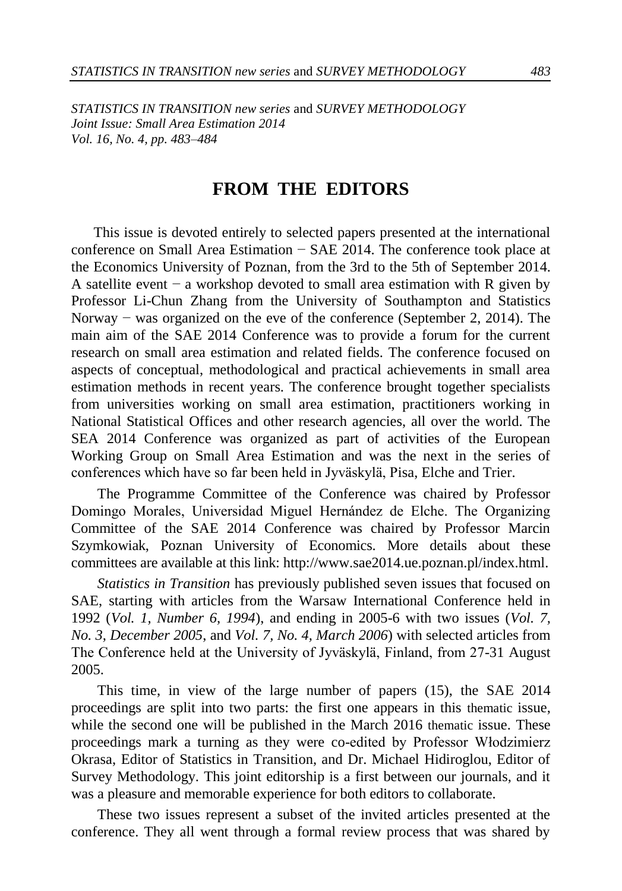*STATISTICS IN TRANSITION new series* and *SURVEY METHODOLOGY Joint Issue: Small Area Estimation 2014 Vol. 16, No. 4, pp. 483–484* 

## **FROM THE EDITORS**

This issue is devoted entirely to selected papers presented at the international conference on Small Area Estimation − SAE 2014. The conference took place at the Economics University of Poznan, from the 3rd to the 5th of September 2014. A satellite event − a workshop devoted to small area estimation with R given by Professor Li-Chun Zhang from the University of Southampton and Statistics Norway − was organized on the eve of the conference (September 2, 2014). The main aim of the SAE 2014 Conference was to provide a forum for the current research on small area estimation and related fields. The conference focused on aspects of conceptual, methodological and practical achievements in small area estimation methods in recent years. The conference brought together specialists from universities working on small area estimation, practitioners working in National Statistical Offices and other research agencies, all over the world. The SEA 2014 Conference was organized as part of activities of the European Working Group on Small Area Estimation and was the next in the series of conferences which have so far been held in Jyväskylä, Pisa, Elche and Trier.

The Programme Committee of the Conference was chaired by Professor Domingo Morales, Universidad Miguel Hernández de Elche. The Organizing Committee of the SAE 2014 Conference was chaired by Professor Marcin Szymkowiak, Poznan University of Economics. More details about these committees are available at this link: http://www.sae2014.ue.poznan.pl/index.html.

*Statistics in Transition* has previously published seven issues that focused on SAE, starting with articles from the Warsaw International Conference held in 1992 (*Vol. 1, Number 6, 1994*), and ending in 2005-6 with two issues (*Vol. 7, No. 3, December 2005*, and *Vol. 7, No. 4, March 2006*) with selected articles from The Conference held at the University of Jyväskylä, Finland, from 27-31 August 2005.

This time, in view of the large number of papers (15), the SAE 2014 proceedings are split into two parts: the first one appears in this thematic issue, while the second one will be published in the March 2016 thematic issue. These proceedings mark a turning as they were co-edited by Professor Włodzimierz Okrasa, Editor of Statistics in Transition, and Dr. Michael Hidiroglou, Editor of Survey Methodology. This joint editorship is a first between our journals, and it was a pleasure and memorable experience for both editors to collaborate.

These two issues represent a subset of the invited articles presented at the conference. They all went through a formal review process that was shared by